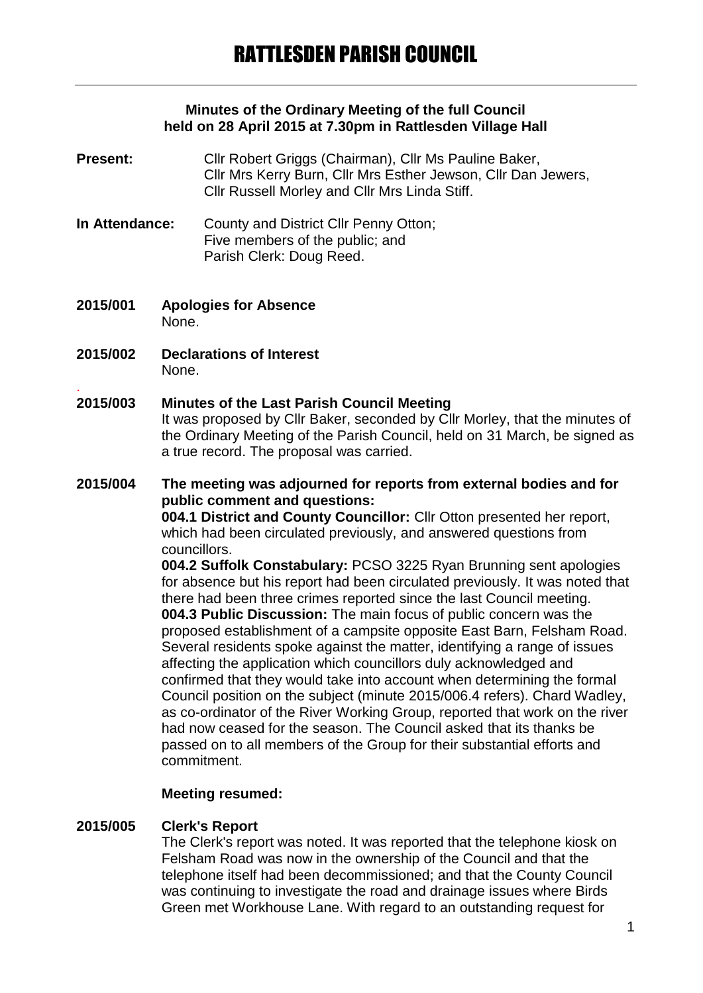#### **Minutes of the Ordinary Meeting of the full Council held on 28 April 2015 at 7.30pm in Rattlesden Village Hall**

- **Present:** Cllr Robert Griggs (Chairman), Cllr Ms Pauline Baker, Cllr Mrs Kerry Burn, Cllr Mrs Esther Jewson, Cllr Dan Jewers, Cllr Russell Morley and Cllr Mrs Linda Stiff.
- **In Attendance:** County and District Cllr Penny Otton; Five members of the public; and Parish Clerk: Doug Reed.
- **2015/001 Apologies for Absence** None.
- **2015/002 Declarations of Interest** None.
- . **2015/003 Minutes of the Last Parish Council Meeting** It was proposed by Cllr Baker, seconded by Cllr Morley, that the minutes of the Ordinary Meeting of the Parish Council, held on 31 March, be signed as a true record. The proposal was carried.

**2015/004 The meeting was adjourned for reports from external bodies and for public comment and questions: 004.1 District and County Councillor:** Cllr Otton presented her report, which had been circulated previously, and answered questions from councillors. **004.2 Suffolk Constabulary:** PCSO 3225 Ryan Brunning sent apologies for absence but his report had been circulated previously. It was noted that there had been three crimes reported since the last Council meeting.

**004.3 Public Discussion:** The main focus of public concern was the proposed establishment of a campsite opposite East Barn, Felsham Road. Several residents spoke against the matter, identifying a range of issues affecting the application which councillors duly acknowledged and confirmed that they would take into account when determining the formal Council position on the subject (minute 2015/006.4 refers). Chard Wadley, as co-ordinator of the River Working Group, reported that work on the river had now ceased for the season. The Council asked that its thanks be passed on to all members of the Group for their substantial efforts and commitment.

## **Meeting resumed:**

#### **2015/005 Clerk's Report**

The Clerk's report was noted. It was reported that the telephone kiosk on Felsham Road was now in the ownership of the Council and that the telephone itself had been decommissioned; and that the County Council was continuing to investigate the road and drainage issues where Birds Green met Workhouse Lane. With regard to an outstanding request for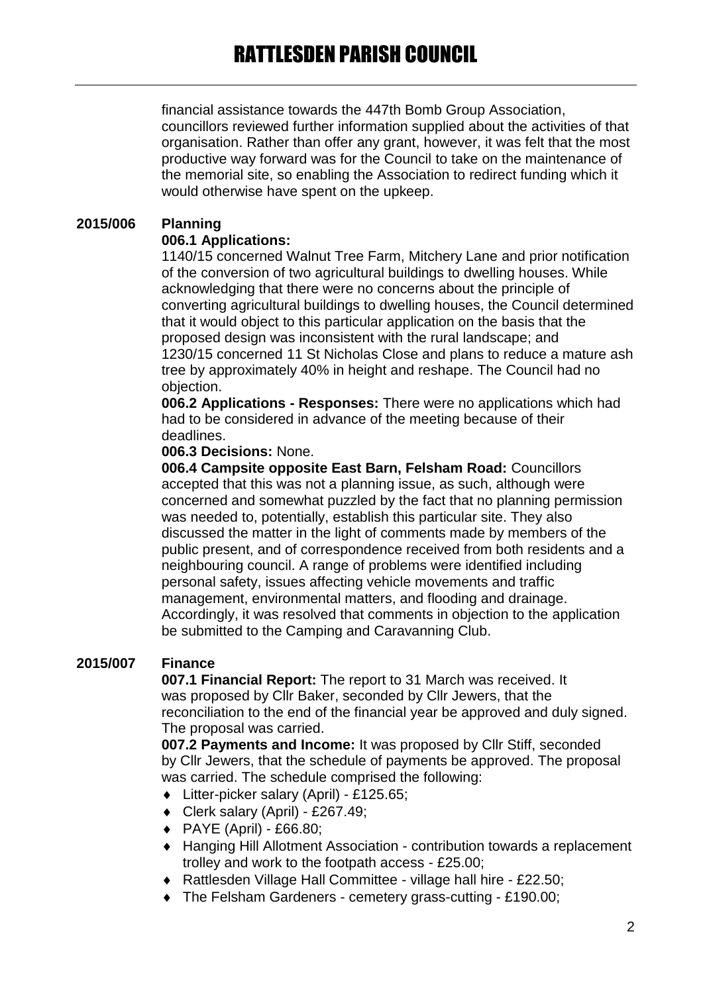financial assistance towards the 447th Bomb Group Association, councillors reviewed further information supplied about the activities of that organisation. Rather than offer any grant, however, it was felt that the most productive way forward was for the Council to take on the maintenance of the memorial site, so enabling the Association to redirect funding which it would otherwise have spent on the upkeep.

## **2015/006 Planning**

#### **006.1 Applications:**

1140/15 concerned Walnut Tree Farm, Mitchery Lane and prior notification of the conversion of two agricultural buildings to dwelling houses. While acknowledging that there were no concerns about the principle of converting agricultural buildings to dwelling houses, the Council determined that it would object to this particular application on the basis that the proposed design was inconsistent with the rural landscape; and 1230/15 concerned 11 St Nicholas Close and plans to reduce a mature ash tree by approximately 40% in height and reshape. The Council had no objection.

**006.2 Applications - Responses:** There were no applications which had had to be considered in advance of the meeting because of their deadlines.

## **006.3 Decisions:** None.

**006.4 Campsite opposite East Barn, Felsham Road:** Councillors accepted that this was not a planning issue, as such, although were concerned and somewhat puzzled by the fact that no planning permission was needed to, potentially, establish this particular site. They also discussed the matter in the light of comments made by members of the public present, and of correspondence received from both residents and a neighbouring council. A range of problems were identified including personal safety, issues affecting vehicle movements and traffic management, environmental matters, and flooding and drainage. Accordingly, it was resolved that comments in objection to the application be submitted to the Camping and Caravanning Club.

## **2015/007 Finance**

**007.1 Financial Report:** The report to 31 March was received. It was proposed by Cllr Baker, seconded by Cllr Jewers, that the reconciliation to the end of the financial year be approved and duly signed. The proposal was carried.

**007.2 Payments and Income:** It was proposed by Cllr Stiff, seconded by Cllr Jewers, that the schedule of payments be approved. The proposal was carried. The schedule comprised the following:

- Litter-picker salary (April) £125.65;
- Clerk salary (April) £267.49;
- PAYE (April) £66.80;
- Hanging Hill Allotment Association contribution towards a replacement trolley and work to the footpath access - £25.00;
- Rattlesden Village Hall Committee village hall hire £22.50;
- The Felsham Gardeners cemetery grass-cutting £190.00;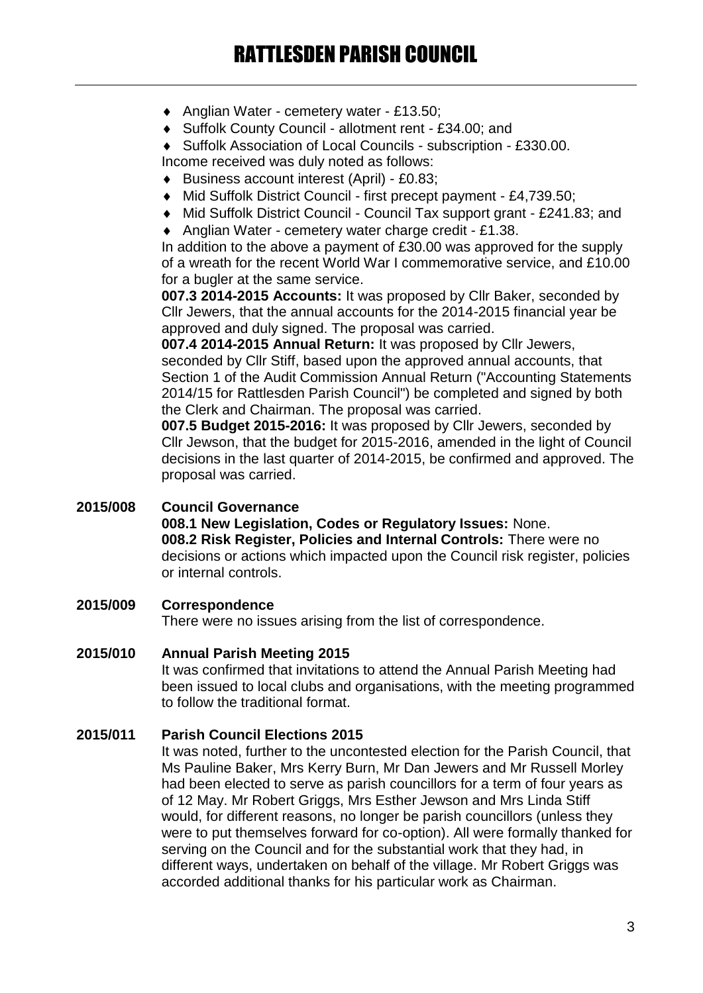- ◆ Anglian Water cemetery water £13.50;
- Suffolk County Council allotment rent £34.00; and
- Suffolk Association of Local Councils subscription £330.00.

Income received was duly noted as follows:

- Business account interest (April) £0.83;
- Mid Suffolk District Council first precept payment £4,739.50;
- Mid Suffolk District Council Council Tax support grant £241.83; and
- ◆ Anglian Water cemetery water charge credit £1.38.

In addition to the above a payment of £30.00 was approved for the supply of a wreath for the recent World War I commemorative service, and £10.00 for a bugler at the same service.

**007.3 2014-2015 Accounts:** It was proposed by Cllr Baker, seconded by Cllr Jewers, that the annual accounts for the 2014-2015 financial year be approved and duly signed. The proposal was carried.

**007.4 2014-2015 Annual Return:** It was proposed by Cllr Jewers, seconded by Cllr Stiff, based upon the approved annual accounts, that Section 1 of the Audit Commission Annual Return ("Accounting Statements 2014/15 for Rattlesden Parish Council") be completed and signed by both the Clerk and Chairman. The proposal was carried.

**007.5 Budget 2015-2016:** It was proposed by Cllr Jewers, seconded by Cllr Jewson, that the budget for 2015-2016, amended in the light of Council decisions in the last quarter of 2014-2015, be confirmed and approved. The proposal was carried.

## **2015/008 Council Governance**

**008.1 New Legislation, Codes or Regulatory Issues:** None. **008.2 Risk Register, Policies and Internal Controls:** There were no decisions or actions which impacted upon the Council risk register, policies or internal controls.

# **2015/009 Correspondence**

There were no issues arising from the list of correspondence.

# **2015/010 Annual Parish Meeting 2015**

It was confirmed that invitations to attend the Annual Parish Meeting had been issued to local clubs and organisations, with the meeting programmed to follow the traditional format.

## **2015/011 Parish Council Elections 2015**

It was noted, further to the uncontested election for the Parish Council, that Ms Pauline Baker, Mrs Kerry Burn, Mr Dan Jewers and Mr Russell Morley had been elected to serve as parish councillors for a term of four years as of 12 May. Mr Robert Griggs, Mrs Esther Jewson and Mrs Linda Stiff would, for different reasons, no longer be parish councillors (unless they were to put themselves forward for co-option). All were formally thanked for serving on the Council and for the substantial work that they had, in different ways, undertaken on behalf of the village. Mr Robert Griggs was accorded additional thanks for his particular work as Chairman.